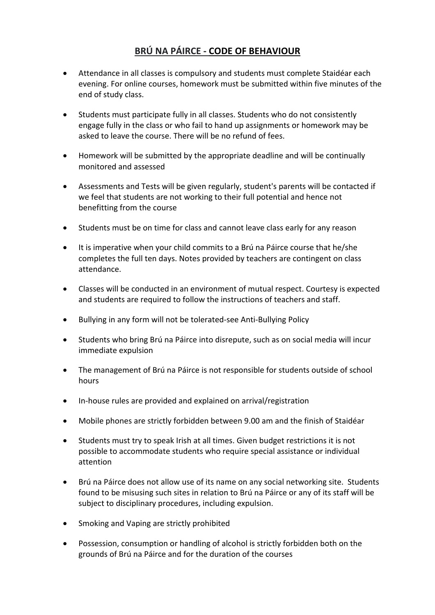## **BRÚ NA PÁIRCE - CODE OF BEHAVIOUR**

- Attendance in all classes is compulsory and students must complete Staidéar each evening. For online courses, homework must be submitted within five minutes of the end of study class.
- Students must participate fully in all classes. Students who do not consistently engage fully in the class or who fail to hand up assignments or homework may be asked to leave the course. There will be no refund of fees.
- Homework will be submitted by the appropriate deadline and will be continually monitored and assessed
- Assessments and Tests will be given regularly, student's parents will be contacted if we feel that students are not working to their full potential and hence not benefitting from the course
- Students must be on time for class and cannot leave class early for any reason
- It is imperative when your child commits to a Brú na Páirce course that he/she completes the full ten days. Notes provided by teachers are contingent on class attendance.
- Classes will be conducted in an environment of mutual respect. Courtesy is expected and students are required to follow the instructions of teachers and staff.
- Bullying in any form will not be tolerated-see Anti-Bullying Policy
- Students who bring Brú na Páirce into disrepute, such as on social media will incur immediate expulsion
- The management of Brú na Páirce is not responsible for students outside of school hours
- In-house rules are provided and explained on arrival/registration
- Mobile phones are strictly forbidden between 9.00 am and the finish of Staidéar
- Students must try to speak Irish at all times. Given budget restrictions it is not possible to accommodate students who require special assistance or individual attention
- Brú na Páirce does not allow use of its name on any social networking site. Students found to be misusing such sites in relation to Brú na Páirce or any of its staff will be subject to disciplinary procedures, including expulsion.
- Smoking and Vaping are strictly prohibited
- Possession, consumption or handling of alcohol is strictly forbidden both on the grounds of Brú na Páirce and for the duration of the courses